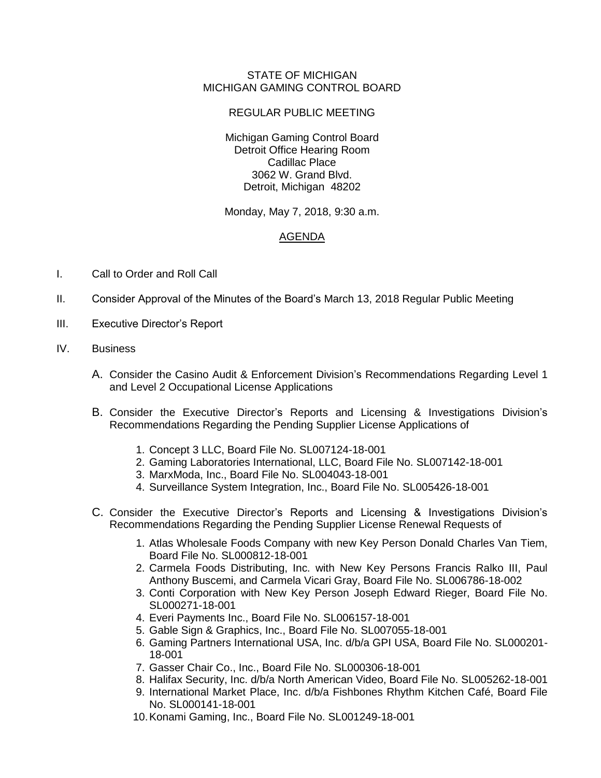## STATE OF MICHIGAN MICHIGAN GAMING CONTROL BOARD

## REGULAR PUBLIC MEETING

Michigan Gaming Control Board Detroit Office Hearing Room Cadillac Place 3062 W. Grand Blvd. Detroit, Michigan 48202

Monday, May 7, 2018, 9:30 a.m.

## AGENDA

- I. Call to Order and Roll Call
- II. Consider Approval of the Minutes of the Board's March 13, 2018 Regular Public Meeting
- III. Executive Director's Report
- IV. Business
	- A. Consider the Casino Audit & Enforcement Division's Recommendations Regarding Level 1 and Level 2 Occupational License Applications
	- B. Consider the Executive Director's Reports and Licensing & Investigations Division's Recommendations Regarding the Pending Supplier License Applications of
		- 1. Concept 3 LLC, Board File No. SL007124-18-001
		- 2. Gaming Laboratories International, LLC, Board File No. SL007142-18-001
		- 3. MarxModa, Inc., Board File No. SL004043-18-001
		- 4. Surveillance System Integration, Inc., Board File No. SL005426-18-001
	- C. Consider the Executive Director's Reports and Licensing & Investigations Division's Recommendations Regarding the Pending Supplier License Renewal Requests of
		- 1. Atlas Wholesale Foods Company with new Key Person Donald Charles Van Tiem, Board File No. SL000812-18-001
		- 2. Carmela Foods Distributing, Inc. with New Key Persons Francis Ralko III, Paul Anthony Buscemi, and Carmela Vicari Gray, Board File No. SL006786-18-002
		- 3. Conti Corporation with New Key Person Joseph Edward Rieger, Board File No. SL000271-18-001
		- 4. Everi Payments Inc., Board File No. SL006157-18-001
		- 5. Gable Sign & Graphics, Inc., Board File No. SL007055-18-001
		- 6. Gaming Partners International USA, Inc. d/b/a GPI USA, Board File No. SL000201- 18-001
		- 7. Gasser Chair Co., Inc., Board File No. SL000306-18-001
		- 8. Halifax Security, Inc. d/b/a North American Video, Board File No. SL005262-18-001
		- 9. International Market Place, Inc. d/b/a Fishbones Rhythm Kitchen Café, Board File No. SL000141-18-001
		- 10.Konami Gaming, Inc., Board File No. SL001249-18-001